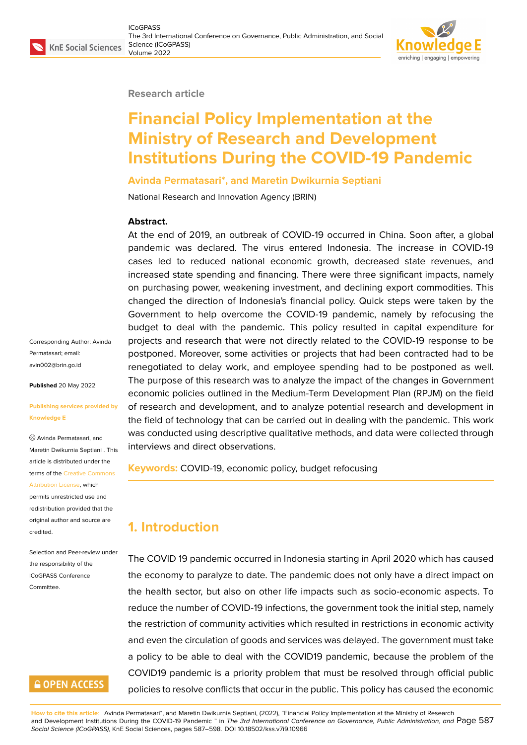### **Research article**

# **Financial Policy Implementation at the Ministry of Research and Development Institutions During the COVID-19 Pandemic**

### **Avinda Permatasari\*, and Maretin Dwikurnia Septiani**

National Research and Innovation Agency (BRIN)

### **Abstract.**

At the end of 2019, an outbreak of COVID-19 occurred in China. Soon after, a global pandemic was declared. The virus entered Indonesia. The increase in COVID-19 cases led to reduced national economic growth, decreased state revenues, and increased state spending and financing. There were three significant impacts, namely on purchasing power, weakening investment, and declining export commodities. This changed the direction of Indonesia's financial policy. Quick steps were taken by the Government to help overcome the COVID-19 pandemic, namely by refocusing the budget to deal with the pandemic. This policy resulted in capital expenditure for projects and research that were not directly related to the COVID-19 response to be postponed. Moreover, some activities or projects that had been contracted had to be renegotiated to delay work, and employee spending had to be postponed as well. The purpose of this research was to analyze the impact of the changes in Government economic policies outlined in the Medium-Term Development Plan (RPJM) on the field of research and development, and to analyze potential research and development in the field of technology that can be carried out in dealing with the pandemic. This work was conducted using descriptive qualitative methods, and data were collected through interviews and direct observations.

#### **Keywords:** COVID-19, economic policy, budget refocusing

## **1. Introduction**

The COVID 19 pandemic occurred in Indonesia starting in April 2020 which has caused the economy to paralyze to date. The pandemic does not only have a direct impact on the health sector, but also on other life impacts such as socio-economic aspects. To reduce the number of COVID-19 infections, the government took the initial step, namely the restriction of community activities which resulted in restrictions in economic activity and even the circulation of goods and services was delayed. The government must take a policy to be able to deal with the COVID19 pandemic, because the problem of the COVID19 pandemic is a priority problem that must be resolved through official public policies to resolve conflicts that occur in the public. This policy has caused the economic

**How to cite this article**: Avinda Permatasari\*, and Maretin Dwikurnia Septiani, (2022), "Financial Policy Implementation at the Ministry of Research and Development Institutions During the COVID-19 Pandemic " in *The 3rd International Conference on Governance, Public Administration, and* Page 587 *Social Science (ICoGPASS)*, KnE Social Sciences, pages 587–598. DOI 10.18502/kss.v7i9.10966

Corresponding Author: Avinda Permatasari; email: avin002@brin.go.id

**Published** 20 May 2022

#### **[Publishing services](mailto:avin002@brin.go.id) provided by Knowledge E**

Avinda Permatasari, and Maretin Dwikurnia Septiani . This article is distributed under the terms of the Creative Commons Attribution License, which permits unrestricted use and redistribution provided that the original auth[or and source are](https://creativecommons.org/licenses/by/4.0/) [credited.](https://creativecommons.org/licenses/by/4.0/)

Selection and Peer-review under the responsibility of the ICoGPASS Conference **Committee** 

### **GOPEN ACCESS**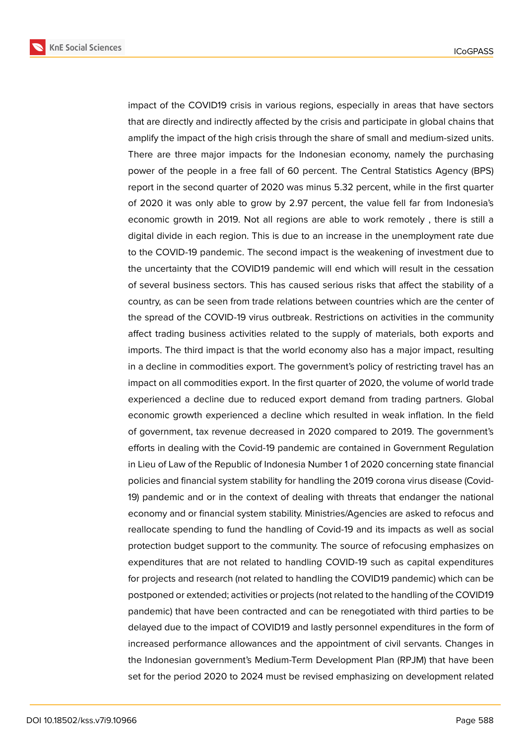

impact of the COVID19 crisis in various regions, especially in areas that have sectors that are directly and indirectly affected by the crisis and participate in global chains that amplify the impact of the high crisis through the share of small and medium-sized units. There are three major impacts for the Indonesian economy, namely the purchasing power of the people in a free fall of 60 percent. The Central Statistics Agency (BPS) report in the second quarter of 2020 was minus 5.32 percent, while in the first quarter of 2020 it was only able to grow by 2.97 percent, the value fell far from Indonesia's economic growth in 2019. Not all regions are able to work remotely , there is still a digital divide in each region. This is due to an increase in the unemployment rate due to the COVID-19 pandemic. The second impact is the weakening of investment due to the uncertainty that the COVID19 pandemic will end which will result in the cessation of several business sectors. This has caused serious risks that affect the stability of a country, as can be seen from trade relations between countries which are the center of the spread of the COVID-19 virus outbreak. Restrictions on activities in the community affect trading business activities related to the supply of materials, both exports and imports. The third impact is that the world economy also has a major impact, resulting in a decline in commodities export. The government's policy of restricting travel has an impact on all commodities export. In the first quarter of 2020, the volume of world trade experienced a decline due to reduced export demand from trading partners. Global economic growth experienced a decline which resulted in weak inflation. In the field of government, tax revenue decreased in 2020 compared to 2019. The government's efforts in dealing with the Covid-19 pandemic are contained in Government Regulation in Lieu of Law of the Republic of Indonesia Number 1 of 2020 concerning state financial policies and financial system stability for handling the 2019 corona virus disease (Covid-19) pandemic and or in the context of dealing with threats that endanger the national economy and or financial system stability. Ministries/Agencies are asked to refocus and reallocate spending to fund the handling of Covid-19 and its impacts as well as social protection budget support to the community. The source of refocusing emphasizes on expenditures that are not related to handling COVID-19 such as capital expenditures for projects and research (not related to handling the COVID19 pandemic) which can be postponed or extended; activities or projects (not related to the handling of the COVID19 pandemic) that have been contracted and can be renegotiated with third parties to be delayed due to the impact of COVID19 and lastly personnel expenditures in the form of increased performance allowances and the appointment of civil servants. Changes in the Indonesian government's Medium-Term Development Plan (RPJM) that have been set for the period 2020 to 2024 must be revised emphasizing on development related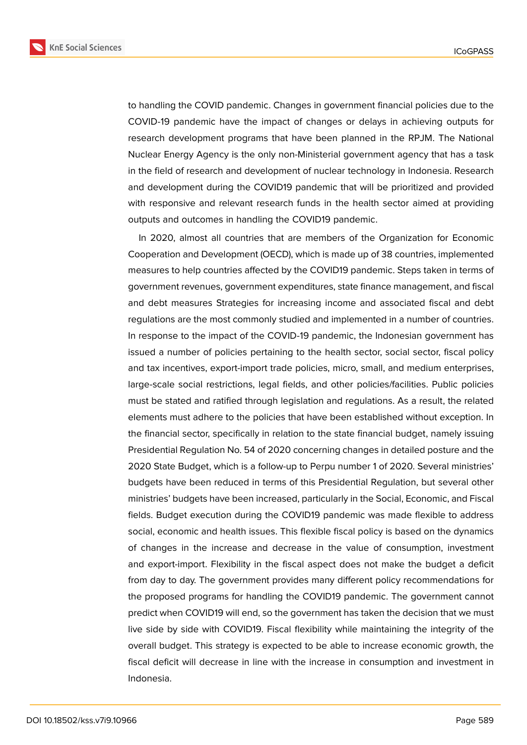

to handling the COVID pandemic. Changes in government financial policies due to the COVID-19 pandemic have the impact of changes or delays in achieving outputs for research development programs that have been planned in the RPJM. The National Nuclear Energy Agency is the only non-Ministerial government agency that has a task in the field of research and development of nuclear technology in Indonesia. Research and development during the COVID19 pandemic that will be prioritized and provided with responsive and relevant research funds in the health sector aimed at providing outputs and outcomes in handling the COVID19 pandemic.

In 2020, almost all countries that are members of the Organization for Economic Cooperation and Development (OECD), which is made up of 38 countries, implemented measures to help countries affected by the COVID19 pandemic. Steps taken in terms of government revenues, government expenditures, state finance management, and fiscal and debt measures Strategies for increasing income and associated fiscal and debt regulations are the most commonly studied and implemented in a number of countries. In response to the impact of the COVID-19 pandemic, the Indonesian government has issued a number of policies pertaining to the health sector, social sector, fiscal policy and tax incentives, export-import trade policies, micro, small, and medium enterprises, large-scale social restrictions, legal fields, and other policies/facilities. Public policies must be stated and ratified through legislation and regulations. As a result, the related elements must adhere to the policies that have been established without exception. In the financial sector, specifically in relation to the state financial budget, namely issuing Presidential Regulation No. 54 of 2020 concerning changes in detailed posture and the 2020 State Budget, which is a follow-up to Perpu number 1 of 2020. Several ministries' budgets have been reduced in terms of this Presidential Regulation, but several other ministries' budgets have been increased, particularly in the Social, Economic, and Fiscal fields. Budget execution during the COVID19 pandemic was made flexible to address social, economic and health issues. This flexible fiscal policy is based on the dynamics of changes in the increase and decrease in the value of consumption, investment and export-import. Flexibility in the fiscal aspect does not make the budget a deficit from day to day. The government provides many different policy recommendations for the proposed programs for handling the COVID19 pandemic. The government cannot predict when COVID19 will end, so the government has taken the decision that we must live side by side with COVID19. Fiscal flexibility while maintaining the integrity of the overall budget. This strategy is expected to be able to increase economic growth, the fiscal deficit will decrease in line with the increase in consumption and investment in Indonesia.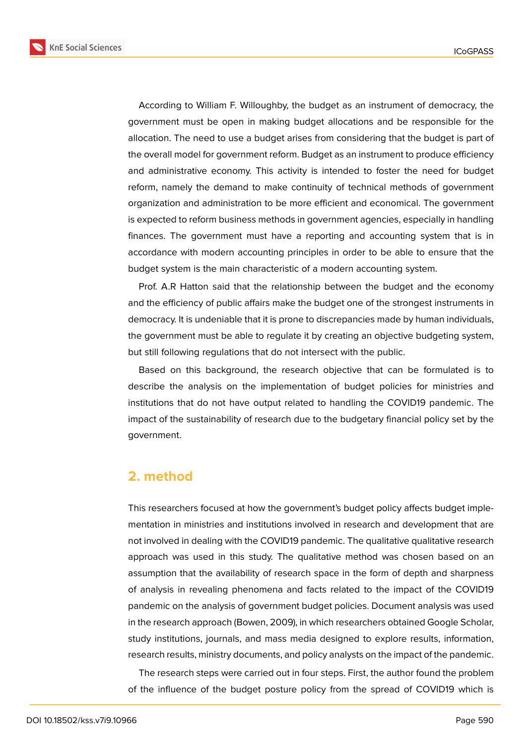

According to William F. Willoughby, the budget as an instrument of democracy, the government must be open in making budget allocations and be responsible for the allocation. The need to use a budget arises from considering that the budget is part of the overall model for government reform. Budget as an instrument to produce efficiency and administrative economy. This activity is intended to foster the need for budget reform, namely the demand to make continuity of technical methods of government organization and administration to be more efficient and economical. The government is expected to reform business methods in government agencies, especially in handling finances. The government must have a reporting and accounting system that is in accordance with modern accounting principles in order to be able to ensure that the budget system is the main characteristic of a modern accounting system.

Prof. A.R Hatton said that the relationship between the budget and the economy and the efficiency of public affairs make the budget one of the strongest instruments in democracy. It is undeniable that it is prone to discrepancies made by human individuals, the government must be able to regulate it by creating an objective budgeting system, but still following regulations that do not intersect with the public.

Based on this background, the research objective that can be formulated is to describe the analysis on the implementation of budget policies for ministries and institutions that do not have output related to handling the COVID19 pandemic. The impact of the sustainability of research due to the budgetary financial policy set by the government.

### **2. method**

This researchers focused at how the government's budget policy affects budget implementation in ministries and institutions involved in research and development that are not involved in dealing with the COVID19 pandemic. The qualitative qualitative research approach was used in this study. The qualitative method was chosen based on an assumption that the availability of research space in the form of depth and sharpness of analysis in revealing phenomena and facts related to the impact of the COVID19 pandemic on the analysis of government budget policies. Document analysis was used in the research approach (Bowen, 2009), in which researchers obtained Google Scholar, study institutions, journals, and mass media designed to explore results, information, research results, ministry documents, and policy analysts on the impact of the pandemic.

The research steps were carried out in four steps. First, the author found the problem of the influence of the budget posture policy from the spread of COVID19 which is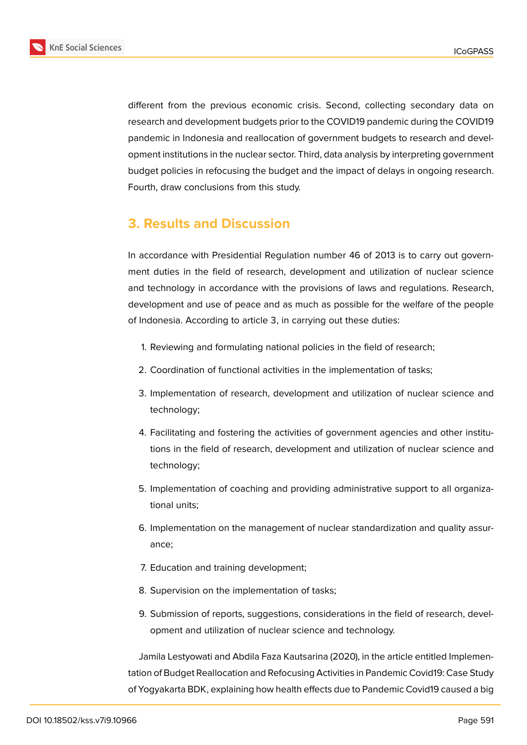

different from the previous economic crisis. Second, collecting secondary data on research and development budgets prior to the COVID19 pandemic during the COVID19 pandemic in Indonesia and reallocation of government budgets to research and development institutions in the nuclear sector. Third, data analysis by interpreting government budget policies in refocusing the budget and the impact of delays in ongoing research. Fourth, draw conclusions from this study.

# **3. Results and Discussion**

In accordance with Presidential Regulation number 46 of 2013 is to carry out government duties in the field of research, development and utilization of nuclear science and technology in accordance with the provisions of laws and regulations. Research, development and use of peace and as much as possible for the welfare of the people of Indonesia. According to article 3, in carrying out these duties:

- 1. Reviewing and formulating national policies in the field of research;
- 2. Coordination of functional activities in the implementation of tasks;
- 3. Implementation of research, development and utilization of nuclear science and technology;
- 4. Facilitating and fostering the activities of government agencies and other institutions in the field of research, development and utilization of nuclear science and technology;
- 5. Implementation of coaching and providing administrative support to all organizational units;
- 6. Implementation on the management of nuclear standardization and quality assurance;
- 7. Education and training development;
- 8. Supervision on the implementation of tasks;
- 9. Submission of reports, suggestions, considerations in the field of research, development and utilization of nuclear science and technology.

Jamila Lestyowati and Abdila Faza Kautsarina (2020), in the article entitled Implementation of Budget Reallocation and Refocusing Activities in Pandemic Covid19: Case Study of Yogyakarta BDK, explaining how health effects due to Pandemic Covid19 caused a big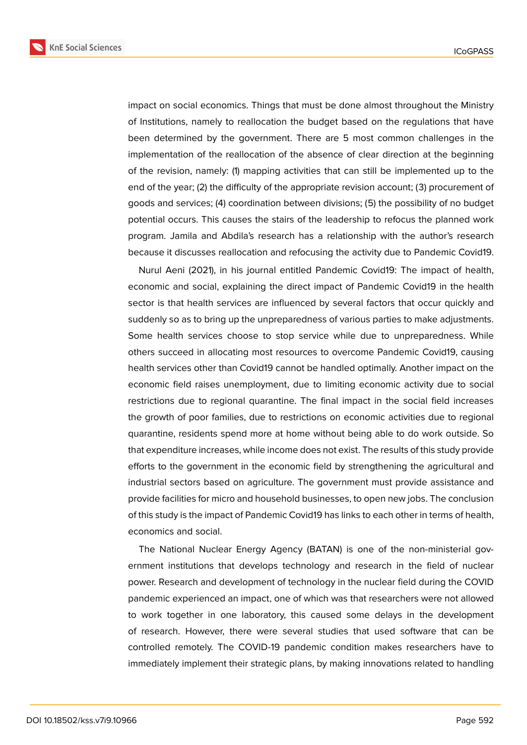

impact on social economics. Things that must be done almost throughout the Ministry of Institutions, namely to reallocation the budget based on the regulations that have been determined by the government. There are 5 most common challenges in the implementation of the reallocation of the absence of clear direction at the beginning of the revision, namely: (1) mapping activities that can still be implemented up to the end of the year; (2) the difficulty of the appropriate revision account; (3) procurement of goods and services; (4) coordination between divisions; (5) the possibility of no budget potential occurs. This causes the stairs of the leadership to refocus the planned work program. Jamila and Abdila's research has a relationship with the author's research because it discusses reallocation and refocusing the activity due to Pandemic Covid19.

Nurul Aeni (2021), in his journal entitled Pandemic Covid19: The impact of health, economic and social, explaining the direct impact of Pandemic Covid19 in the health sector is that health services are influenced by several factors that occur quickly and suddenly so as to bring up the unpreparedness of various parties to make adjustments. Some health services choose to stop service while due to unpreparedness. While others succeed in allocating most resources to overcome Pandemic Covid19, causing health services other than Covid19 cannot be handled optimally. Another impact on the economic field raises unemployment, due to limiting economic activity due to social restrictions due to regional quarantine. The final impact in the social field increases the growth of poor families, due to restrictions on economic activities due to regional quarantine, residents spend more at home without being able to do work outside. So that expenditure increases, while income does not exist. The results of this study provide efforts to the government in the economic field by strengthening the agricultural and industrial sectors based on agriculture. The government must provide assistance and provide facilities for micro and household businesses, to open new jobs. The conclusion of this study is the impact of Pandemic Covid19 has links to each other in terms of health, economics and social.

The National Nuclear Energy Agency (BATAN) is one of the non-ministerial government institutions that develops technology and research in the field of nuclear power. Research and development of technology in the nuclear field during the COVID pandemic experienced an impact, one of which was that researchers were not allowed to work together in one laboratory, this caused some delays in the development of research. However, there were several studies that used software that can be controlled remotely. The COVID-19 pandemic condition makes researchers have to immediately implement their strategic plans, by making innovations related to handling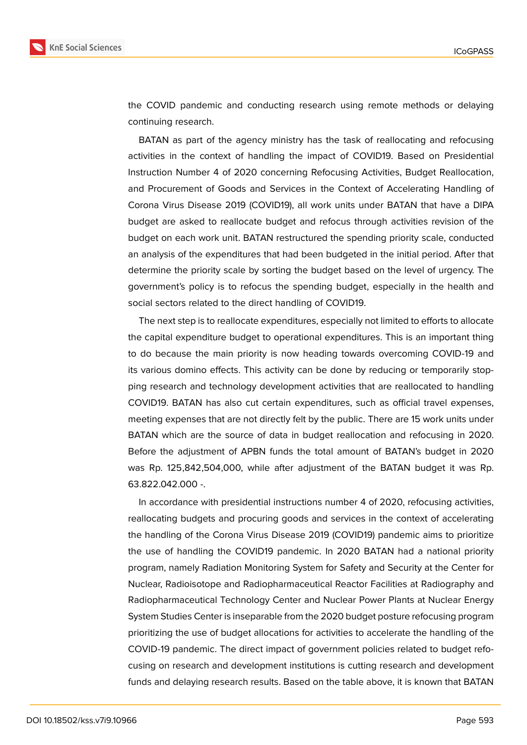

the COVID pandemic and conducting research using remote methods or delaying continuing research.

BATAN as part of the agency ministry has the task of reallocating and refocusing activities in the context of handling the impact of COVID19. Based on Presidential Instruction Number 4 of 2020 concerning Refocusing Activities, Budget Reallocation, and Procurement of Goods and Services in the Context of Accelerating Handling of Corona Virus Disease 2019 (COVID19), all work units under BATAN that have a DIPA budget are asked to reallocate budget and refocus through activities revision of the budget on each work unit. BATAN restructured the spending priority scale, conducted an analysis of the expenditures that had been budgeted in the initial period. After that determine the priority scale by sorting the budget based on the level of urgency. The government's policy is to refocus the spending budget, especially in the health and social sectors related to the direct handling of COVID19.

The next step is to reallocate expenditures, especially not limited to efforts to allocate the capital expenditure budget to operational expenditures. This is an important thing to do because the main priority is now heading towards overcoming COVID-19 and its various domino effects. This activity can be done by reducing or temporarily stopping research and technology development activities that are reallocated to handling COVID19. BATAN has also cut certain expenditures, such as official travel expenses, meeting expenses that are not directly felt by the public. There are 15 work units under BATAN which are the source of data in budget reallocation and refocusing in 2020. Before the adjustment of APBN funds the total amount of BATAN's budget in 2020 was Rp. 125,842,504,000, while after adjustment of the BATAN budget it was Rp. 63.822.042.000 -.

In accordance with presidential instructions number 4 of 2020, refocusing activities, reallocating budgets and procuring goods and services in the context of accelerating the handling of the Corona Virus Disease 2019 (COVID19) pandemic aims to prioritize the use of handling the COVID19 pandemic. In 2020 BATAN had a national priority program, namely Radiation Monitoring System for Safety and Security at the Center for Nuclear, Radioisotope and Radiopharmaceutical Reactor Facilities at Radiography and Radiopharmaceutical Technology Center and Nuclear Power Plants at Nuclear Energy System Studies Center is inseparable from the 2020 budget posture refocusing program prioritizing the use of budget allocations for activities to accelerate the handling of the COVID-19 pandemic. The direct impact of government policies related to budget refocusing on research and development institutions is cutting research and development funds and delaying research results. Based on the table above, it is known that BATAN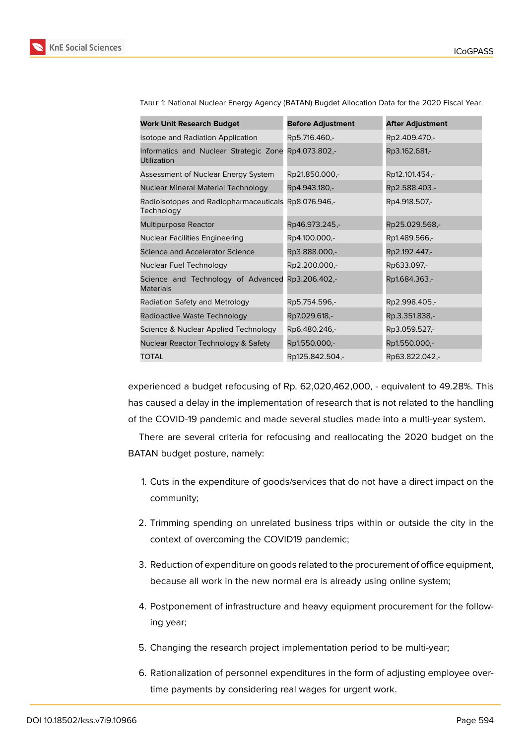

| <b>Work Unit Research Budget</b>                                    | <b>Before Adjustment</b> | <b>After Adjustment</b> |
|---------------------------------------------------------------------|--------------------------|-------------------------|
| Isotope and Radiation Application                                   | Rp5.716.460,-            | Rp2.409.470,-           |
| Informatics and Nuclear Strategic Zone Rp4.073.802,-<br>Utilization |                          | Rp3.162.681,-           |
| Assessment of Nuclear Energy System                                 | Rp21.850.000,-           | Rp12.101.454,-          |
| Nuclear Mineral Material Technology                                 | Rp4.943.180,-            | Rp2.588.403,-           |
| Radioisotopes and Radiopharmaceuticals Rp8.076.946,-<br>Technology  |                          | Rp4.918.507,-           |
| Multipurpose Reactor                                                | Rp46.973.245,-           | Rp25.029.568,-          |
| <b>Nuclear Facilities Engineering</b>                               | Rp4.100.000,-            | Rp1.489.566,-           |
| Science and Accelerator Science                                     | Rp3.888.000,-            | Rp2.192.447,-           |
| Nuclear Fuel Technology                                             | Rp2.200.000,-            | Rp633.097,-             |
| Science and Technology of Advanced<br><b>Materials</b>              | Rp3.206.402,-            | Rp1.684.363,-           |
| Radiation Safety and Metrology                                      | Rp5.754.596,-            | Rp2.998.405,-           |
| Radioactive Waste Technology                                        | Rp7.029.618,-            | Rp.3.351.838,-          |
| Science & Nuclear Applied Technology                                | Rp6.480.246,-            | Rp3.059.527,-           |
| Nuclear Reactor Technology & Safety                                 | Rp1.550.000,-            | Rp1.550.000,-           |
| TOTAL                                                               | Rp125.842.504,-          | Rp63.822.042,-          |

Table 1: National Nuclear Energy Agency (BATAN) Bugdet Allocation Data for the 2020 Fiscal Year.

experienced a budget refocusing of Rp. 62,020,462,000, - equivalent to 49.28%. This has caused a delay in the implementation of research that is not related to the handling of the COVID-19 pandemic and made several studies made into a multi-year system.

There are several criteria for refocusing and reallocating the 2020 budget on the BATAN budget posture, namely:

- 1. Cuts in the expenditure of goods/services that do not have a direct impact on the community;
- 2. Trimming spending on unrelated business trips within or outside the city in the context of overcoming the COVID19 pandemic;
- 3. Reduction of expenditure on goods related to the procurement of office equipment, because all work in the new normal era is already using online system;
- 4. Postponement of infrastructure and heavy equipment procurement for the following year;
- 5. Changing the research project implementation period to be multi-year;
- 6. Rationalization of personnel expenditures in the form of adjusting employee overtime payments by considering real wages for urgent work.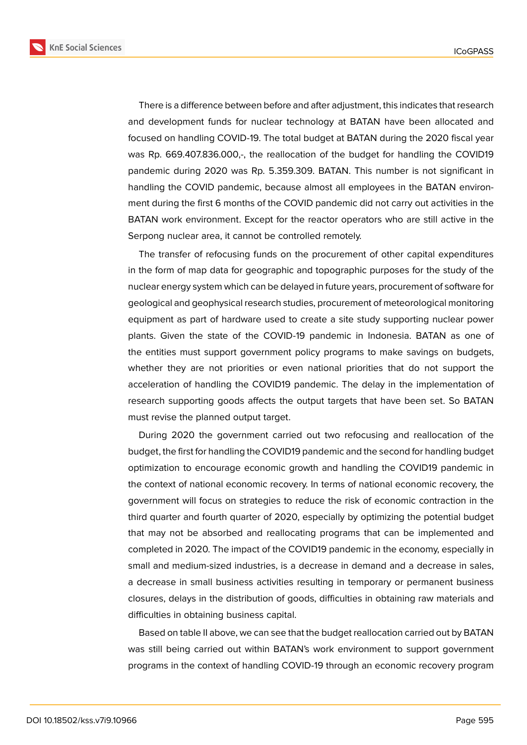

There is a difference between before and after adjustment, this indicates that research and development funds for nuclear technology at BATAN have been allocated and focused on handling COVID-19. The total budget at BATAN during the 2020 fiscal year was Rp. 669.407.836.000,-, the reallocation of the budget for handling the COVID19 pandemic during 2020 was Rp. 5.359.309. BATAN. This number is not significant in handling the COVID pandemic, because almost all employees in the BATAN environment during the first 6 months of the COVID pandemic did not carry out activities in the BATAN work environment. Except for the reactor operators who are still active in the Serpong nuclear area, it cannot be controlled remotely.

The transfer of refocusing funds on the procurement of other capital expenditures in the form of map data for geographic and topographic purposes for the study of the nuclear energy system which can be delayed in future years, procurement of software for geological and geophysical research studies, procurement of meteorological monitoring equipment as part of hardware used to create a site study supporting nuclear power plants. Given the state of the COVID-19 pandemic in Indonesia. BATAN as one of the entities must support government policy programs to make savings on budgets, whether they are not priorities or even national priorities that do not support the acceleration of handling the COVID19 pandemic. The delay in the implementation of research supporting goods affects the output targets that have been set. So BATAN must revise the planned output target.

During 2020 the government carried out two refocusing and reallocation of the budget, the first for handling the COVID19 pandemic and the second for handling budget optimization to encourage economic growth and handling the COVID19 pandemic in the context of national economic recovery. In terms of national economic recovery, the government will focus on strategies to reduce the risk of economic contraction in the third quarter and fourth quarter of 2020, especially by optimizing the potential budget that may not be absorbed and reallocating programs that can be implemented and completed in 2020. The impact of the COVID19 pandemic in the economy, especially in small and medium-sized industries, is a decrease in demand and a decrease in sales, a decrease in small business activities resulting in temporary or permanent business closures, delays in the distribution of goods, difficulties in obtaining raw materials and difficulties in obtaining business capital.

Based on table II above, we can see that the budget reallocation carried out by BATAN was still being carried out within BATAN's work environment to support government programs in the context of handling COVID-19 through an economic recovery program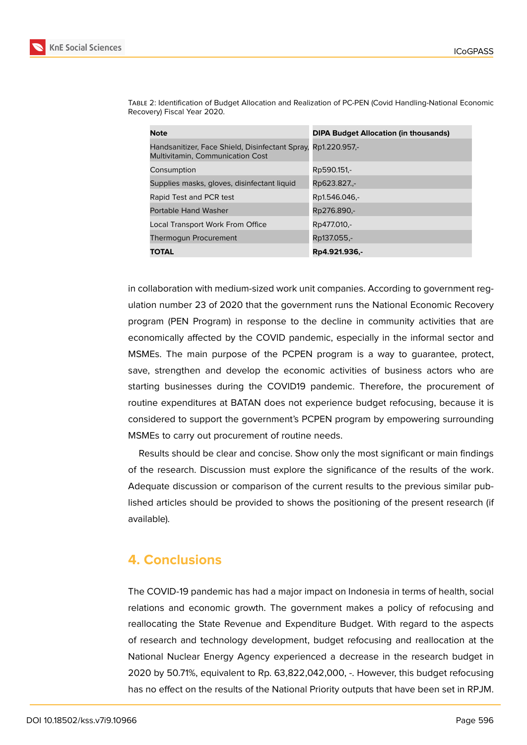

Table 2: Identification of Budget Allocation and Realization of PC-PEN (Covid Handling-National Economic

| <b>Note</b>                                                                                              | <b>DIPA Budget Allocation (in thousands)</b> |
|----------------------------------------------------------------------------------------------------------|----------------------------------------------|
| Handsanitizer, Face Shield, Disinfectant Spray, Rp1.220.957,-<br><b>Multivitamin, Communication Cost</b> |                                              |
| Consumption                                                                                              | Rp590.151,-                                  |
| Supplies masks, gloves, disinfectant liquid                                                              | Rp623.827.,-                                 |
| Rapid Test and PCR test                                                                                  | Rp1.546.046,-                                |
| Portable Hand Washer                                                                                     | Rp276.890,-                                  |
| Local Transport Work From Office                                                                         | Rp477.010,-                                  |
| <b>Thermogun Procurement</b>                                                                             | Rp137.055,-                                  |
| TOTAL                                                                                                    | Rp4.921.936,-                                |

in collaboration with medium-sized work unit companies. According to government regulation number 23 of 2020 that the government runs the National Economic Recovery program (PEN Program) in response to the decline in community activities that are economically affected by the COVID pandemic, especially in the informal sector and MSMEs. The main purpose of the PCPEN program is a way to guarantee, protect, save, strengthen and develop the economic activities of business actors who are starting businesses during the COVID19 pandemic. Therefore, the procurement of routine expenditures at BATAN does not experience budget refocusing, because it is considered to support the government's PCPEN program by empowering surrounding MSMEs to carry out procurement of routine needs.

Results should be clear and concise. Show only the most significant or main findings of the research. Discussion must explore the significance of the results of the work. Adequate discussion or comparison of the current results to the previous similar published articles should be provided to shows the positioning of the present research (if available).

# **4. Conclusions**

Recovery) Fiscal Year 2020.

The COVID-19 pandemic has had a major impact on Indonesia in terms of health, social relations and economic growth. The government makes a policy of refocusing and reallocating the State Revenue and Expenditure Budget. With regard to the aspects of research and technology development, budget refocusing and reallocation at the National Nuclear Energy Agency experienced a decrease in the research budget in 2020 by 50.71%, equivalent to Rp. 63,822,042,000, -. However, this budget refocusing has no effect on the results of the National Priority outputs that have been set in RPJM.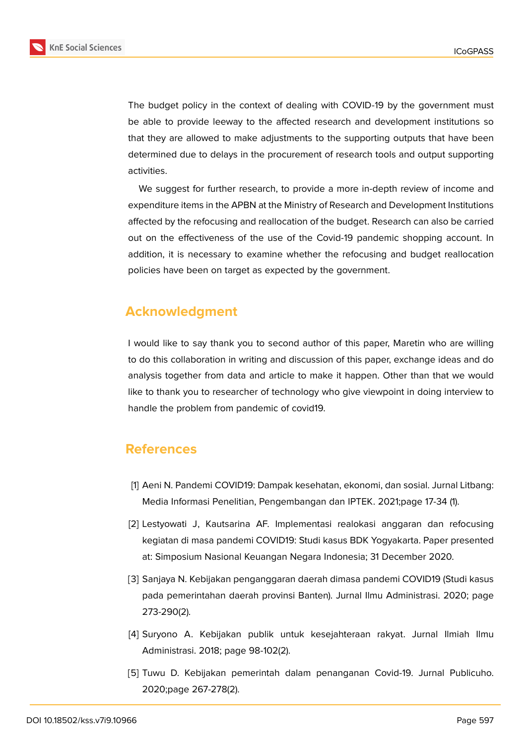

The budget policy in the context of dealing with COVID-19 by the government must be able to provide leeway to the affected research and development institutions so that they are allowed to make adjustments to the supporting outputs that have been determined due to delays in the procurement of research tools and output supporting activities.

We suggest for further research, to provide a more in-depth review of income and expenditure items in the APBN at the Ministry of Research and Development Institutions affected by the refocusing and reallocation of the budget. Research can also be carried out on the effectiveness of the use of the Covid-19 pandemic shopping account. In addition, it is necessary to examine whether the refocusing and budget reallocation policies have been on target as expected by the government.

# **Acknowledgment**

I would like to say thank you to second author of this paper, Maretin who are willing to do this collaboration in writing and discussion of this paper, exchange ideas and do analysis together from data and article to make it happen. Other than that we would like to thank you to researcher of technology who give viewpoint in doing interview to handle the problem from pandemic of covid19.

# **References**

- [1] Aeni N. Pandemi COVID19: Dampak kesehatan, ekonomi, dan sosial. Jurnal Litbang: Media Informasi Penelitian, Pengembangan dan IPTEK. 2021;page 17-34 (1).
- [2] Lestyowati J, Kautsarina AF. Implementasi realokasi anggaran dan refocusing kegiatan di masa pandemi COVID19: Studi kasus BDK Yogyakarta. Paper presented at: Simposium Nasional Keuangan Negara Indonesia; 31 December 2020.
- [3] Sanjaya N. Kebijakan penganggaran daerah dimasa pandemi COVID19 (Studi kasus pada pemerintahan daerah provinsi Banten). Jurnal Ilmu Administrasi. 2020; page 273-290(2).
- [4] Suryono A. Kebijakan publik untuk kesejahteraan rakyat. Jurnal Ilmiah Ilmu Administrasi. 2018; page 98-102(2).
- [5] Tuwu D. Kebijakan pemerintah dalam penanganan Covid-19. Jurnal Publicuho. 2020;page 267-278(2).